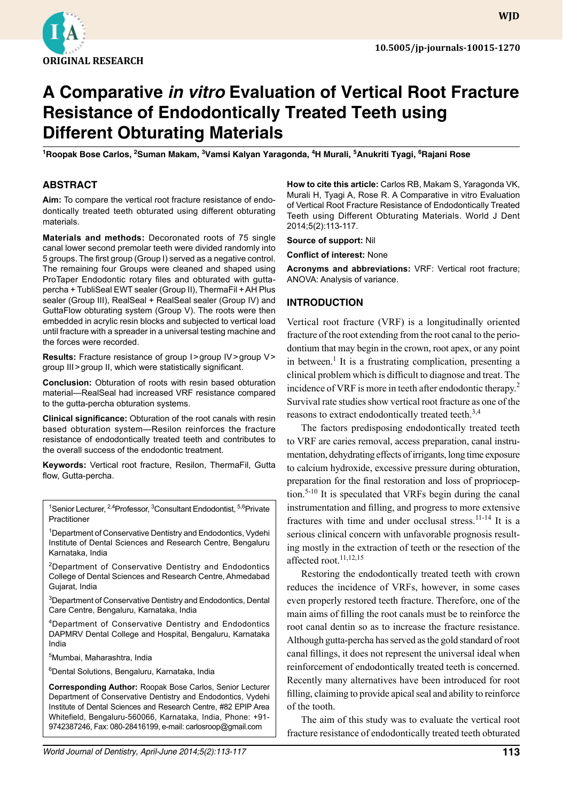

# **A Comparative** *in vitro* **Evaluation of Vertical Root Fracture Resistance of Endodontically Treated Teeth using Different Obturating Materials**

<sup>1</sup>Roopak Bose Carlos, <sup>2</sup>Suman Makam, <sup>3</sup>Vamsi Kalyan Yaragonda, <sup>4</sup>H Murali, <sup>5</sup>Anukriti Tyagi, <sup>6</sup>Rajani Rose

#### **ABSTRACT**

**Aim:** To compare the vertical root fracture resistance of endodontically treated teeth obturated using different obturating materials.

**Materials and methods:** Decoronated roots of 75 single canal lower second premolar teeth were divided randomly into 5 groups. The first group (Group I) served as a negative control. The remaining four Groups were cleaned and shaped using ProTaper Endodontic rotary files and obturated with guttapercha + TubliSeal EWT sealer (Group II), ThermaFil + AH Plus sealer (Group III), RealSeal + RealSeal sealer (Group IV) and GuttaFlow obturating system (Group V). The roots were then embedded in acrylic resin blocks and subjected to vertical load until fracture with a spreader in a universal testing machine and the forces were recorded.

**Results:** Fracture resistance of group I>group IV>group V> group III>group II, which were statistically significant.

**Conclusion:** Obturation of roots with resin based obturation material—RealSeal had increased VRF resistance compared to the gutta-percha obturation systems.

**Clinical significance:** Obturation of the root canals with resin based obturation system—Resilon reinforces the fracture resistance of endodontically treated teeth and contributes to the overall success of the endodontic treatment.

**Keywords:** Vertical root fracture, Resilon, ThermaFil, Gutta flow, Gutta-percha.

<sup>1</sup>Senior Lecturer, <sup>2,4</sup>Professor, <sup>3</sup>Consultant Endodontist, <sup>5,6</sup>Private Practitioner

<sup>1</sup>Department of Conservative Dentistry and Endodontics, Vydehi Institute of Dental Sciences and Research Centre, Bengaluru Karnataka, India

<sup>2</sup>Department of Conservative Dentistry and Endodontics College of Dental Sciences and Research Centre, Ahmedabad Gujarat, India

<sup>3</sup>Department of Conservative Dentistry and Endodontics, Dental Care Centre, Bengaluru, Karnataka, India

<sup>4</sup>Department of Conservative Dentistry and Endodontics DAPMRV Dental College and Hospital, Bengaluru, Karnataka India

5 Mumbai, Maharashtra, India

6 Dental Solutions, Bengaluru, Karnataka, India

**Corresponding Author:** Roopak Bose Carlos, Senior Lecturer Department of Conservative Dentistry and Endodontics, Vydehi Institute of Dental Sciences and Research Centre, #82 EPIP Area Whitefield, Bengaluru-560066, Karnataka, India, Phone: +91- 9742387246, Fax: 080-28416199, e-mail: carlosroop@gmail.com

**How to cite this article:** Carlos RB, Makam S, Yaragonda VK, Murali H, Tyagi A, Rose R. A Comparative in vitro Evaluation of Vertical Root Fracture Resistance of Endodontically Treated Teeth using Different Obturating Materials. World J Dent 2014;5(2):113-117.

**Source of support:** Nil

**Conflict of interest:** None

**Acronyms and abbreviations:** VRF: Vertical root fracture; ANOVA: Analysis of variance.

#### **Introduction**

Vertical root fracture (VRF) is a longitudinally oriented fracture of the root extending from the root canal to the periodontium that may begin in the crown, root apex, or any point in between.<sup>1</sup> It is a frustrating complication, presenting a clinical problem which is difficult to diagnose and treat. The incidence of VRF is more in teeth after endodontic therapy.<sup>2</sup> Survival rate studies show vertical root fracture as one of the reasons to extract endodontically treated teeth.<sup>3,4</sup>

The factors predisposing endodontically treated teeth to VRF are caries removal, access preparation, canal instrumentation, dehydrating effects of irrigants, long time exposure to calcium hydroxide, excessive pressure during obturation, preparation for the final restoration and loss of proprioception.5-10 It is speculated that VRFs begin during the canal instrumentation and filling, and progress to more extensive fractures with time and under occlusal stress. $11-14$  It is a serious clinical concern with unfavorable prognosis resulting mostly in the extraction of teeth or the resection of the affected root.<sup>11,12,15</sup>

Restoring the endodontically treated teeth with crown reduces the incidence of VRFs, however, in some cases even properly restored teeth fracture. Therefore, one of the main aims of filling the root canals must be to reinforce the root canal dentin so as to increase the fracture resistance. Although gutta-percha has served as the gold standard of root canal fillings, it does not represent the universal ideal when reinforcement of endodontically treated teeth is concerned. Recently many alternatives have been introduced for root filling, claiming to provide apical seal and ability to reinforce of the tooth.

The aim of this study was to evaluate the vertical root fracture resistance of endodontically treated teeth obturated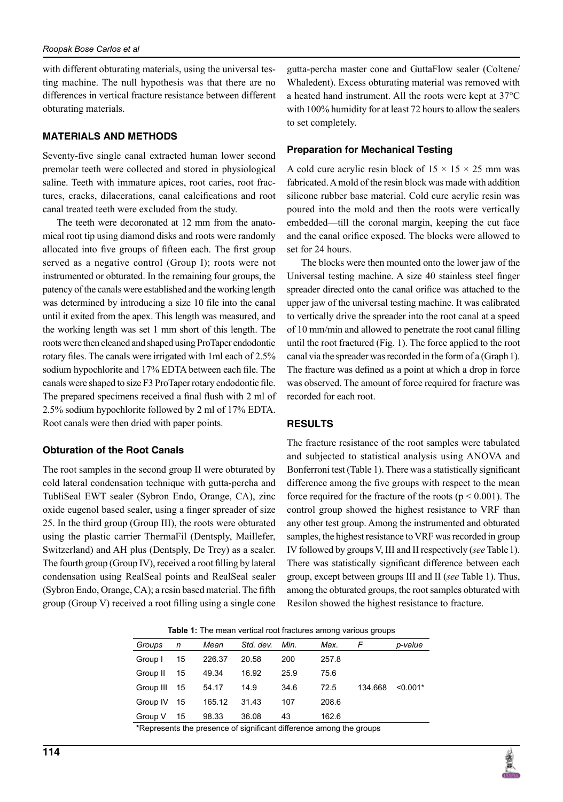with different obturating materials, using the universal testing machine. The null hypothesis was that there are no differences in vertical fracture resistance between different obturating materials.

### **Materials and Methods**

Seventy-five single canal extracted human lower second premolar teeth were collected and stored in physiological saline. Teeth with immature apices, root caries, root fractures, cracks, dilacerations, canal calcifications and root canal treated teeth were excluded from the study.

The teeth were decoronated at 12 mm from the anatomical root tip using diamond disks and roots were randomly allocated into five groups of fifteen each. The first group served as a negative control (Group I); roots were not instrumented or obturated. In the remaining four groups, the patency of the canals were established and the working length was determined by introducing a size 10 file into the canal until it exited from the apex. This length was measured, and the working length was set 1 mm short of this length. The roots were then cleaned and shaped using ProTaper endodontic rotary files. The canals were irrigated with 1ml each of 2.5% sodium hypochlorite and 17% EDTA between each file. The canals were shaped to size F3 ProTaper rotary endodontic file. The prepared specimens received a final flush with 2 ml of 2.5% sodium hypochlorite followed by 2 ml of 17% EDTA. Root canals were then dried with paper points.

## **Obturation of the Root Canals**

The root samples in the second group II were obturated by cold lateral condensation technique with gutta-percha and TubliSeal EWT sealer (Sybron Endo, Orange, CA), zinc oxide eugenol based sealer, using a finger spreader of size 25. In the third group (Group III), the roots were obturated using the plastic carrier ThermaFil (Dentsply, Maillefer, Switzerland) and AH plus (Dentsply, De Trey) as a sealer. The fourth group (Group IV), received a root filling by lateral condensation using RealSeal points and RealSeal sealer (Sybron Endo, Orange, CA); a resin based material. The fifth group (Group V) received a root filling using a single cone

gutta-percha master cone and GuttaFlow sealer (Coltene/ Whaledent). Excess obturating material was removed with a heated hand instrument. All the roots were kept at 37°C with 100% humidity for at least 72 hours to allow the sealers to set completely.

#### **Preparation for Mechanical Testing**

A cold cure acrylic resin block of  $15 \times 15 \times 25$  mm was fabricated. A mold of the resin block was made with addition silicone rubber base material. Cold cure acrylic resin was poured into the mold and then the roots were vertically embedded—till the coronal margin, keeping the cut face and the canal orifice exposed. The blocks were allowed to set for 24 hours.

The blocks were then mounted onto the lower jaw of the Universal testing machine. A size 40 stainless steel finger spreader directed onto the canal orifice was attached to the upper jaw of the universal testing machine. It was calibrated to vertically drive the spreader into the root canal at a speed of 10 mm/min and allowed to penetrate the root canal filling until the root fractured (Fig. 1). The force applied to the root canal via the spreader was recorded in the form of a (Graph1). The fracture was defined as a point at which a drop in force was observed. The amount of force required for fracture was recorded for each root.

## **Results**

The fracture resistance of the root samples were tabulated and subjected to statistical analysis using ANOVA and Bonferroni test (Table 1). There was a statistically significant difference among the five groups with respect to the mean force required for the fracture of the roots ( $p \le 0.001$ ). The control group showed the highest resistance to VRF than any other test group. Among the instrumented and obturated samples, the highest resistance to VRF was recorded in group IV followed by groups V, III and II respectively (*see* Table1). There was statistically significant difference between each group, except between groups III and II (*see* Table 1). Thus, among the obturated groups, the root samples obturated with Resilon showed the highest resistance to fracture.

|                                                                     | <b>Table 1:</b> The mean vertical root fractures among various groups |    |        |           |      |       |         |            |
|---------------------------------------------------------------------|-----------------------------------------------------------------------|----|--------|-----------|------|-------|---------|------------|
|                                                                     | Groups                                                                | n  | Mean   | Std. dev. | Min. | Max.  | F       | p-value    |
|                                                                     | Group I                                                               | 15 | 226.37 | 20.58     | 200  | 257.8 |         |            |
|                                                                     | Group II                                                              | 15 | 49.34  | 16.92     | 25.9 | 75.6  |         |            |
|                                                                     | Group III                                                             | 15 | 54.17  | 14.9      | 34.6 | 72.5  | 134.668 | $< 0.001*$ |
|                                                                     | Group IV                                                              | 15 | 165.12 | 31.43     | 107  | 208.6 |         |            |
|                                                                     | Group V                                                               | 15 | 98.33  | 36.08     | 43   | 162.6 |         |            |
| *Denresente the presence of cignificant difference among the groups |                                                                       |    |        |           |      |       |         |            |

Represents the presence of significant difference among the groups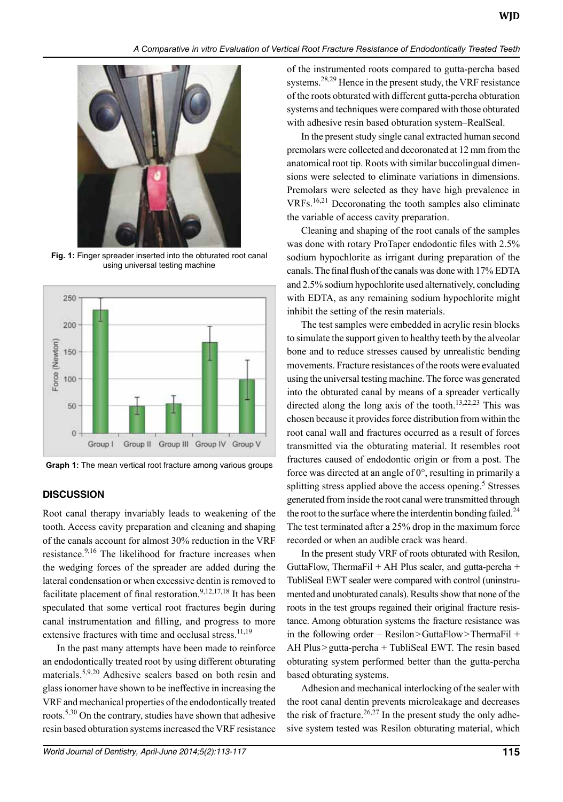

**Fig. 1:** Finger spreader inserted into the obturated root canal using universal testing machine



**Graph 1:** The mean vertical root fracture among various groups

#### **Discussion**

Root canal therapy invariably leads to weakening of the tooth. Access cavity preparation and cleaning and shaping of the canals account for almost 30% reduction in the VRF resistance.<sup>9,16</sup> The likelihood for fracture increases when the wedging forces of the spreader are added during the lateral condensation or when excessive dentin is removed to facilitate placement of final restoration.<sup>9,12,17,18</sup> It has been speculated that some vertical root fractures begin during canal instrumentation and filling, and progress to more extensive fractures with time and occlusal stress.<sup>11,19</sup>

In the past many attempts have been made to reinforce an endodontically treated root by using different obturating materials.5,9,20 Adhesive sealers based on both resin and glass ionomer have shown to be ineffective in increasing the VRF and mechanical properties of the endodontically treated roots.<sup>5,30</sup> On the contrary, studies have shown that adhesive resin based obturation systems increased the VRF resistance of the instrumented roots compared to gutta-percha based systems.<sup>28,29</sup> Hence in the present study, the VRF resistance of the roots obturated with different gutta-percha obturation systems and techniques were compared with those obturated with adhesive resin based obturation system–RealSeal.

In the present study single canal extracted human second premolars were collected and decoronated at 12 mm from the anatomical root tip. Roots with similar buccolingual dimensions were selected to eliminate variations in dimensions. Premolars were selected as they have high prevalence in VRFs.16,21 Decoronating the tooth samples also eliminate the variable of access cavity preparation.

Cleaning and shaping of the root canals of the samples was done with rotary ProTaper endodontic files with 2.5% sodium hypochlorite as irrigant during preparation of the canals. The final flush of the canals was done with 17% EDTA and 2.5% sodium hypochlorite used alternatively, concluding with EDTA, as any remaining sodium hypochlorite might inhibit the setting of the resin materials.

The test samples were embedded in acrylic resin blocks to simulate the support given to healthy teeth by the alveolar bone and to reduce stresses caused by unrealistic bending movements. Fracture resistances of the roots were evaluated using the universal testing machine. The force was generated into the obturated canal by means of a spreader vertically directed along the long axis of the tooth.<sup>13,22,23</sup> This was chosen because it provides force distribution from within the root canal wall and fractures occurred as a result of forces transmitted via the obturating material. It resembles root fractures caused of endodontic origin or from a post. The force was directed at an angle of 0°, resulting in primarily a splitting stress applied above the access opening.<sup>5</sup> Stresses generated from inside the root canal were transmitted through the root to the surface where the interdentin bonding failed.<sup>24</sup> The test terminated after a 25% drop in the maximum force recorded or when an audible crack was heard.

In the present study VRF of roots obturated with Resilon, GuttaFlow, ThermaFil + AH Plus sealer, and gutta-percha + TubliSeal EWT sealer were compared with control (uninstrumented and unobturated canals). Results show that none of the roots in the test groups regained their original fracture resistance. Among obturation systems the fracture resistance was in the following order – Resilon>GuttaFlow>ThermaFil + AH Plus>gutta-percha + TubliSeal EWT. The resin based obturating system performed better than the gutta-percha based obturating systems.

Adhesion and mechanical interlocking of the sealer with the root canal dentin prevents microleakage and decreases the risk of fracture.<sup>26,27</sup> In the present study the only adhesive system tested was Resilon obturating material, which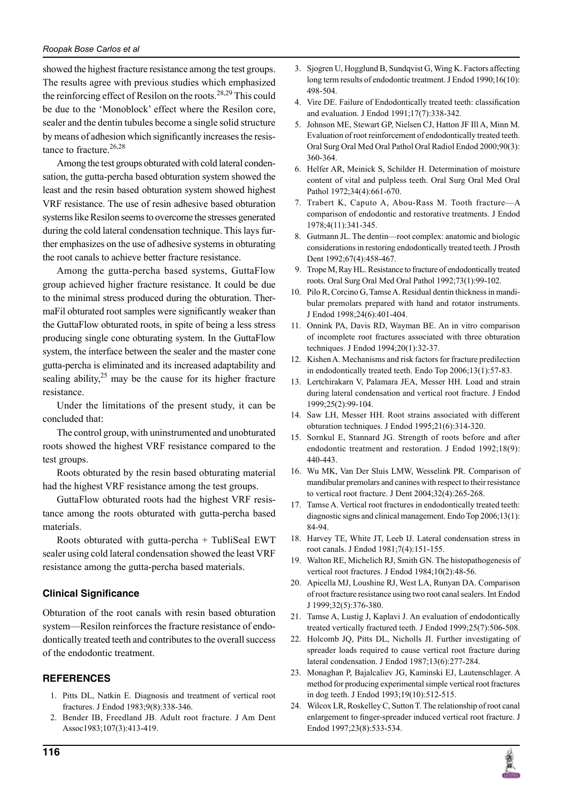#### *Roopak Bose Carlos et al*

showed the highest fracture resistance among the test groups. The results agree with previous studies which emphasized the reinforcing effect of Resilon on the roots.<sup>28,29</sup> This could be due to the 'Monoblock' effect where the Resilon core, sealer and the dentin tubules become a single solid structure by means of adhesion which significantly increases the resistance to fracture. $26,28$ 

Among the test groups obturated with cold lateral condensation, the gutta-percha based obturation system showed the least and the resin based obturation system showed highest VRF resistance. The use of resin adhesive based obturation systems like Resilon seems to overcome the stresses generated during the cold lateral condensation technique. This lays further emphasizes on the use of adhesive systems in obturating the root canals to achieve better fracture resistance.

Among the gutta-percha based systems, GuttaFlow group achieved higher fracture resistance. It could be due to the minimal stress produced during the obturation. ThermaFil obturated root samples were significantly weaker than the GuttaFlow obturated roots, in spite of being a less stress producing single cone obturating system. In the GuttaFlow system, the interface between the sealer and the master cone gutta-percha is eliminated and its increased adaptability and sealing ability, $2^5$  may be the cause for its higher fracture resistance.

Under the limitations of the present study, it can be concluded that:

The control group, with uninstrumented and unobturated roots showed the highest VRF resistance compared to the test groups.

Roots obturated by the resin based obturating material had the highest VRF resistance among the test groups.

GuttaFlow obturated roots had the highest VRF resistance among the roots obturated with gutta-percha based materials.

Roots obturated with gutta-percha + TubliSeal EWT sealer using cold lateral condensation showed the least VRF resistance among the gutta-percha based materials.

## **Clinical Significance**

Obturation of the root canals with resin based obturation system—Resilon reinforces the fracture resistance of endodontically treated teeth and contributes to the overall success of the endodontic treatment.

## **References**

- 1. Pitts DL, Natkin E. Diagnosis and treatment of vertical root fractures. J Endod 1983;9(8):338-346.
- 2. Bender IB, Freedland JB. Adult root fracture. J Am Dent Assoc1983;107(3):413-419.
- 3. Sjogren U, Hogglund B, Sundqvist G, Wing K. Factors affecting long term results of endodontic treatment. J Endod 1990;16(10): 498-504.
- 4. Vire DE. Failure of Endodontically treated teeth: classification and evaluation. J Endod 1991;17(7):338-342.
- 5. Johnson ME, Stewart GP, Nielsen CJ, Hatton JF Ill A, Minn M. Evaluation of root reinforcement of endodontically treated teeth. Oral Surg Oral Med Oral Pathol Oral Radiol Endod 2000;90(3): 360-364.
- 6. Helfer AR, Meinick S, Schilder H. Determination of moisture content of vital and pulpless teeth. Oral Surg Oral Med Oral Pathol 1972;34(4):661-670.
- 7. Trabert K, Caputo A, Abou-Rass M. Tooth fracture—A comparison of endodontic and restorative treatments. J Endod 1978;4(11):341-345.
- 8. Gutmann JL. The dentin—root complex: anatomic and biologic considerations in restoring endodontically treated teeth. J Prosth Dent 1992;67(4):458-467.
- 9. Trope M, Ray HL. Resistance to fracture of endodontically treated roots. Oral Surg Oral Med Oral Pathol 1992;73(1):99-102.
- 10. Pilo R, Corcino G, Tamse A. Residual dentin thickness in mandibular premolars prepared with hand and rotator instruments. J Endod 1998;24(6):401-404.
- 11. Onnink PA, Davis RD, Wayman BE. An in vitro comparison of incomplete root fractures associated with three obturation techniques. J Endod 1994;20(1):32-37.
- 12. Kishen A. Mechanisms and risk factors for fracture predilection in endodontically treated teeth. Endo Top 2006;13(1):57-83.
- 13. Lertchirakarn V, Palamara JEA, Messer HH. Load and strain during lateral condensation and vertical root fracture. J Endod 1999;25(2):99-104.
- 14. Saw LH, Messer HH. Root strains associated with different obturation techniques. J Endod 1995;21(6):314-320.
- 15. Sornkul E, Stannard JG. Strength of roots before and after endodontic treatment and restoration. J Endod 1992;18(9): 440-443.
- 16. Wu MK, Van Der Sluis LMW, Wesselink PR. Comparison of mandibular premolars and canines with respect to their resistance to vertical root fracture. J Dent 2004;32(4):265-268.
- 17. Tamse A. Vertical root fractures in endodontically treated teeth: diagnostic signs and clinical management. Endo Top 2006;13(1): 84-94.
- 18. Harvey TE, White JT, Leeb IJ. Lateral condensation stress in root canals. J Endod 1981;7(4):151-155.
- 19. Walton RE, Michelich RJ, Smith GN. The histopathogenesis of vertical root fractures. J Endod 1984;10(2):48-56.
- 20. Apicella MJ, Loushine RJ, West LA, Runyan DA. Comparison of root fracture resistance using two root canal sealers. Int Endod J 1999;32(5):376-380.
- 21. Tamse A, Lustig J, Kaplavi J. An evaluation of endodontically treated vertically fractured teeth. J Endod 1999;25(7):506-508.
- 22. Holcomb JQ, Pitts DL, Nicholls JI. Further investigating of spreader loads required to cause vertical root fracture during lateral condensation. J Endod 1987;13(6):277-284.
- 23. Monaghan P, Bajalcaliev JG, Kaminski EJ, Lautenschlager. A method for producing experimental simple vertical root fractures in dog teeth. J Endod 1993;19(10):512-515.
- 24. Wilcox LR, Roskelley C, Sutton T. The relationship of root canal enlargement to finger-spreader induced vertical root fracture. J Endod 1997;23(8):533-534.